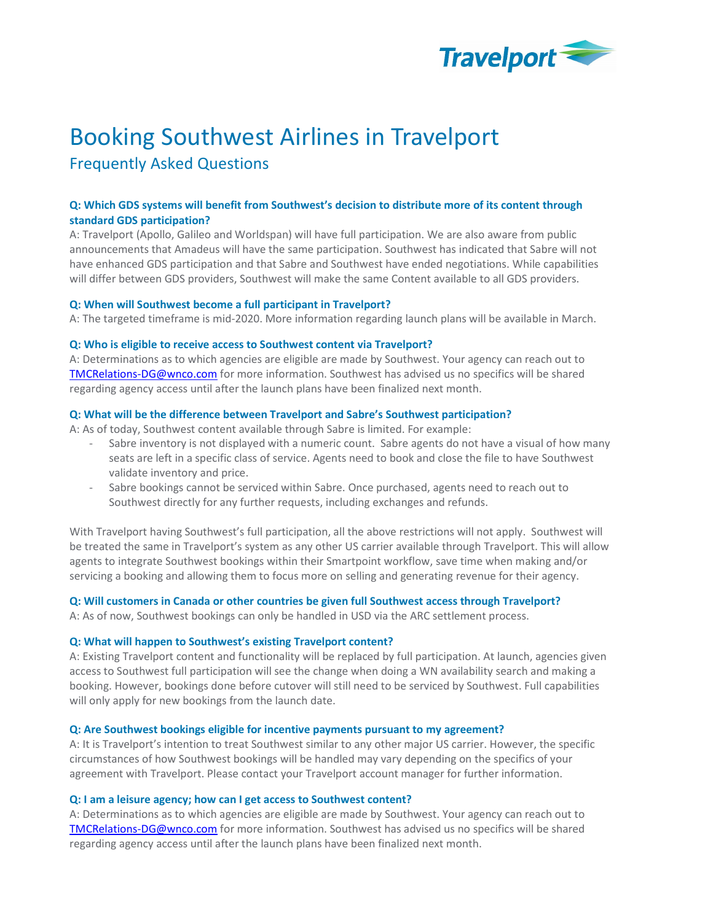

# Booking Southwest Airlines in Travelport

Frequently Asked Questions

# Q: Which GDS systems will benefit from Southwest's decision to distribute more of its content through standard GDS participation?

A: Travelport (Apollo, Galileo and Worldspan) will have full participation. We are also aware from public announcements that Amadeus will have the same participation. Southwest has indicated that Sabre will not have enhanced GDS participation and that Sabre and Southwest have ended negotiations. While capabilities will differ between GDS providers, Southwest will make the same Content available to all GDS providers.

# Q: When will Southwest become a full participant in Travelport?

A: The targeted timeframe is mid-2020. More information regarding launch plans will be available in March.

# Q: Who is eligible to receive access to Southwest content via Travelport?

A: Determinations as to which agencies are eligible are made by Southwest. Your agency can reach out to TMCRelations-DG@wnco.com for more information. Southwest has advised us no specifics will be shared regarding agency access until after the launch plans have been finalized next month.

# Q: What will be the difference between Travelport and Sabre's Southwest participation?

A: As of today, Southwest content available through Sabre is limited. For example:

- Sabre inventory is not displayed with a numeric count. Sabre agents do not have a visual of how many seats are left in a specific class of service. Agents need to book and close the file to have Southwest validate inventory and price.
- Sabre bookings cannot be serviced within Sabre. Once purchased, agents need to reach out to Southwest directly for any further requests, including exchanges and refunds.

With Travelport having Southwest's full participation, all the above restrictions will not apply. Southwest will be treated the same in Travelport's system as any other US carrier available through Travelport. This will allow agents to integrate Southwest bookings within their Smartpoint workflow, save time when making and/or servicing a booking and allowing them to focus more on selling and generating revenue for their agency.

# Q: Will customers in Canada or other countries be given full Southwest access through Travelport?

A: As of now, Southwest bookings can only be handled in USD via the ARC settlement process.

# Q: What will happen to Southwest's existing Travelport content?

A: Existing Travelport content and functionality will be replaced by full participation. At launch, agencies given access to Southwest full participation will see the change when doing a WN availability search and making a booking. However, bookings done before cutover will still need to be serviced by Southwest. Full capabilities will only apply for new bookings from the launch date.

# Q: Are Southwest bookings eligible for incentive payments pursuant to my agreement?

A: It is Travelport's intention to treat Southwest similar to any other major US carrier. However, the specific circumstances of how Southwest bookings will be handled may vary depending on the specifics of your agreement with Travelport. Please contact your Travelport account manager for further information.

# Q: I am a leisure agency; how can I get access to Southwest content?

A: Determinations as to which agencies are eligible are made by Southwest. Your agency can reach out to TMCRelations-DG@wnco.com for more information. Southwest has advised us no specifics will be shared regarding agency access until after the launch plans have been finalized next month.